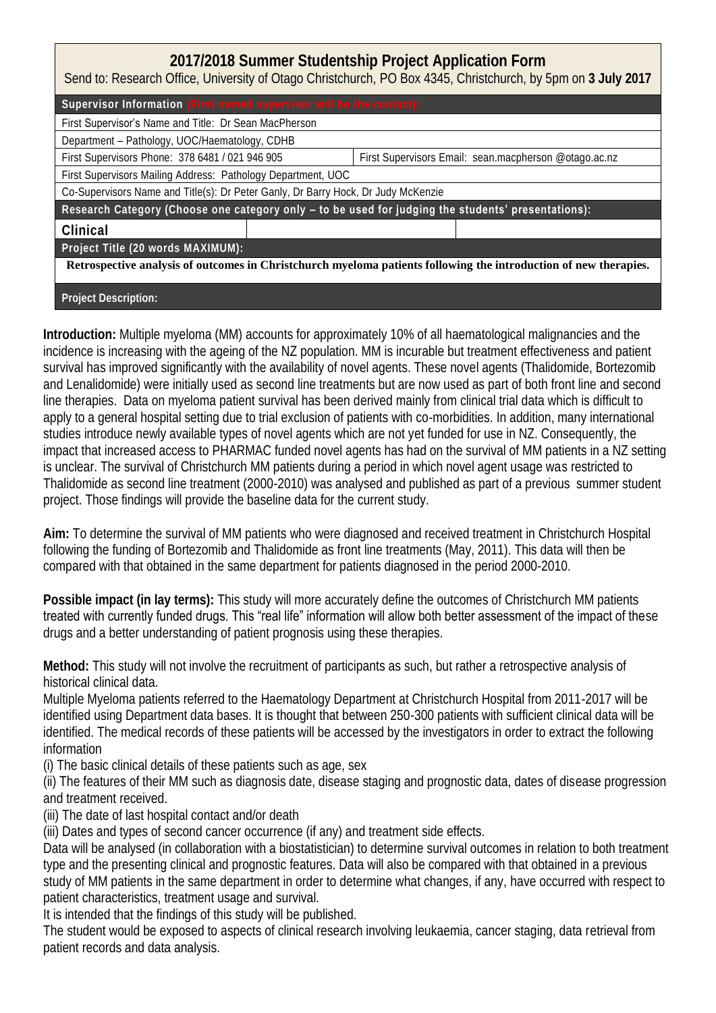## **2017/2018 Summer Studentship Project Application Form**

Send to: Research Office, University of Otago Christchurch, PO Box 4345, Christchurch, by 5pm on **3 July 2017**

Supervisor Information

First Supervisor's Name and Title: Dr Sean MacPherson

Department – Pathology, UOC/Haematology, CDHB

First Supervisors Phone: 378 6481 / 021 946 905 First Supervisors Email: sean.macpherson @otago.ac.nz

First Supervisors Mailing Address: Pathology Department, UOC

Co-Supervisors Name and Title(s): Dr Peter Ganly, Dr Barry Hock, Dr Judy McKenzie

Research Category (Choose one category only **– to be used for judging the students' presentations)**:

**Clinical** 

**Project Title (20 words MAXIMUM):**

**Retrospective analysis of outcomes in Christchurch myeloma patients following the introduction of new therapies.**

**Project Description:** 

**Introduction:** Multiple myeloma (MM) accounts for approximately 10% of all haematological malignancies and the incidence is increasing with the ageing of the NZ population. MM is incurable but treatment effectiveness and patient survival has improved significantly with the availability of novel agents. These novel agents (Thalidomide, Bortezomib and Lenalidomide) were initially used as second line treatments but are now used as part of both front line and second line therapies. Data on myeloma patient survival has been derived mainly from clinical trial data which is difficult to apply to a general hospital setting due to trial exclusion of patients with co-morbidities. In addition, many international studies introduce newly available types of novel agents which are not yet funded for use in NZ. Consequently, the impact that increased access to PHARMAC funded novel agents has had on the survival of MM patients in a NZ setting is unclear. The survival of Christchurch MM patients during a period in which novel agent usage was restricted to Thalidomide as second line treatment (2000-2010) was analysed and published as part of a previous summer student project. Those findings will provide the baseline data for the current study.

**Aim:** To determine the survival of MM patients who were diagnosed and received treatment in Christchurch Hospital following the funding of Bortezomib and Thalidomide as front line treatments (May, 2011). This data will then be compared with that obtained in the same department for patients diagnosed in the period 2000-2010.

**Possible impact (in lay terms):** This study will more accurately define the outcomes of Christchurch MM patients treated with currently funded drugs. This "real life" information will allow both better assessment of the impact of these drugs and a better understanding of patient prognosis using these therapies.

**Method:** This study will not involve the recruitment of participants as such, but rather a retrospective analysis of historical clinical data.

Multiple Myeloma patients referred to the Haematology Department at Christchurch Hospital from 2011-2017 will be identified using Department data bases. It is thought that between 250-300 patients with sufficient clinical data will be identified. The medical records of these patients will be accessed by the investigators in order to extract the following information

(i) The basic clinical details of these patients such as age, sex

(ii) The features of their MM such as diagnosis date, disease staging and prognostic data, dates of disease progression and treatment received.

(iii) The date of last hospital contact and/or death

(iii) Dates and types of second cancer occurrence (if any) and treatment side effects.

Data will be analysed (in collaboration with a biostatistician) to determine survival outcomes in relation to both treatment type and the presenting clinical and prognostic features. Data will also be compared with that obtained in a previous study of MM patients in the same department in order to determine what changes, if any, have occurred with respect to patient characteristics, treatment usage and survival.

It is intended that the findings of this study will be published.

The student would be exposed to aspects of clinical research involving leukaemia, cancer staging, data retrieval from patient records and data analysis.